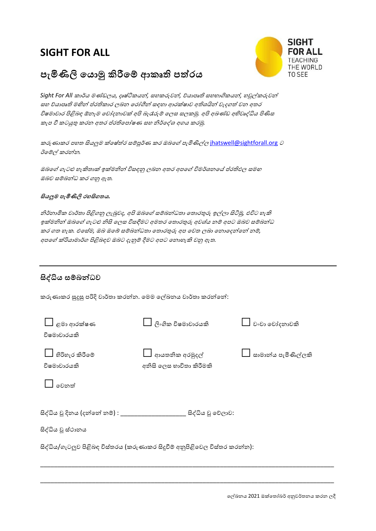## **SIGHT FOR ALL**





*Sight For All* කාර්ය මණ්ඩලය, දෘෂ්ටිකයන්*,* සහකරුවන්*,* ව්යාපෘති සහභාගිකයන්*,* හවුේකරුවන් සහ ව්යාපෘති මඟින් ප්රතිකාර ලබන ලරෝගීන් සඳහා ආරකෂ්ාව අතිශයින් වැදගත් වන අතර විෂ්මාචාර පිළිබඳ ඕනෑම ලචෝදනාවක අපි බැරෑරුම් ලලස සලකමු*.* අපි අඛණ්ඩ අභිවෘද්ධිය පිණිස කැප වී කටයුතු කරන අතර ප්රතිලපෝෂ්ණ සහ නිර්ලද්ධශ අගය කරමු*.* 

කරුණාකර පහත සියලුම ක්ෂේත්ර සම්පූර්ණ කර ඔබගේ පැමිණිල්ල jhatswell@sig[htforall.org](mailto:jhatswell@sightforall.org) ට ඊලම්ේ කරන්න*.* 

ඔබලේ ගැටළු හැකිතාක ඉකමනින් විසඳනු ලබන අතර අපලේ විමර්ශනලේ ප්රතිඵල සමඟ ඔබව සම්බන්ධ කර ගනු ඇත*.*

## **සි ලුම පැමිණිලි රහසිගත** *.*

නිර්නාමික වාර්තා පිළිගනු ලැබුවද*,* අපි ඔබලේ සම්බන්ධතා ලතාරතුරු ඉේලා සිිමු*,* එවිට හැකි ඉකමනින් ඔබලේ ගැටළු නිසි ලලස විසඳීමට අමතර ලතාරතුරු අවශටය නම් අපට ඔබව සම්බන්ධ කර ගත හැක*.* එලසටම*,* ඔබ ඔලේ සම්බන්ධතා ලතාරතුරු අප ලවත ලබා ලනාලදන්ලන් නම්*,*  අපලේ කරියාමාර්ග පිළිබඳව ඔබට දැනුම් දීමට අපට ලනාහැකි වනු ඇත*.*

## **සිද්ධි සේබන්ධව**

කරුණාකර සුදුසු පරිදි වාර්තා කරන්න. ලමම ලේඛනය වාර්තා කරන්ලන්:

| ළමා ආරක්ෂණ<br>විෂමාචාරයකි                                                 | ලිංගික විෂමාචාරයකි                         | වංචා චෝදනාවකි          |  |  |  |  |  |
|---------------------------------------------------------------------------|--------------------------------------------|------------------------|--|--|--|--|--|
| $\Box$ හිරිහැර කිරීමේ<br>විෂමාචාරයකි                                      | ආයතනික අරමුදල්<br>අනිසි ලෙස භාවිතා කිරීමකි | —් සාමාන්ය පැමිණිල්ලකි |  |  |  |  |  |
| මෙනුත්                                                                    |                                            |                        |  |  |  |  |  |
| සිද්ධිය වූ දිනය (දන්නේ නම්) : ________<br>ුසිද්ධිය වූ වේලාව:              |                                            |                        |  |  |  |  |  |
| සිද්ධිය වූ ස්ථානය                                                         |                                            |                        |  |  |  |  |  |
| සිද්ධිය/ගැටලුව පිළිබඳ විස්තරය (කරුණාකර සිදූවීම් අනුපිළිවෙල විස්තර කරන්න): |                                            |                        |  |  |  |  |  |

\_\_\_\_\_\_\_\_\_\_\_\_\_\_\_\_\_\_\_\_\_\_\_\_\_\_\_\_\_\_\_\_\_\_\_\_\_\_\_\_\_\_\_\_\_\_\_\_\_\_\_\_\_\_\_\_\_\_\_\_\_\_\_\_\_\_\_\_\_\_\_\_\_\_\_\_\_\_\_\_\_\_\_\_\_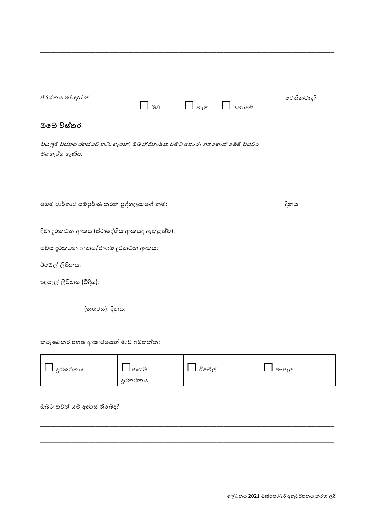|                                  |     | පවතිනවාද?                                                                                           |
|----------------------------------|-----|-----------------------------------------------------------------------------------------------------|
|                                  |     |                                                                                                     |
|                                  |     |                                                                                                     |
|                                  |     |                                                                                                     |
|                                  |     |                                                                                                     |
|                                  |     |                                                                                                     |
|                                  |     |                                                                                                     |
|                                  |     |                                                                                                     |
|                                  |     |                                                                                                     |
|                                  |     |                                                                                                     |
|                                  |     |                                                                                                     |
|                                  |     |                                                                                                     |
|                                  |     |                                                                                                     |
|                                  |     |                                                                                                     |
|                                  |     |                                                                                                     |
|                                  |     |                                                                                                     |
| කරුණාකර පහත ආකාරයෙන් මාව අමතන්න: |     |                                                                                                     |
|                                  | ඔව් | $\Box$ නොදනී<br>$\Box$ ຫາ<br>සියලුම විස්තර රහස්යව තබා ගැනේ. ඔබ නිර්නාමික වීමට තෝරා ගතහොත් මෙම පියවර |

| දුරකථනය | ] ජ∘ගම  | ඊමේල් | තැපෑල |
|---------|---------|-------|-------|
|         | දුරකථනය |       |       |

ඔබට තවත් යම් අදහස් තිබේද?